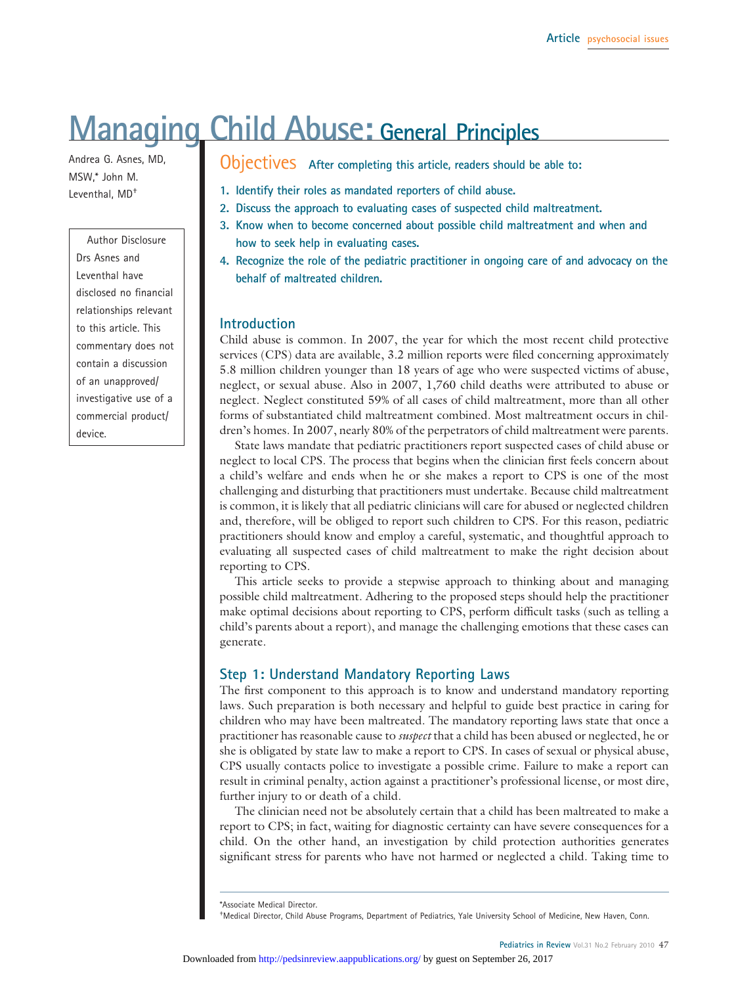# **Managing Child Abuse: General Principles**

Objectives **After completing this article, readers should be able to:**

- **1. Identify their roles as mandated reporters of child abuse.**
- **2. Discuss the approach to evaluating cases of suspected child maltreatment.**
- **3. Know when to become concerned about possible child maltreatment and when and how to seek help in evaluating cases.**
- **4. Recognize the role of the pediatric practitioner in ongoing care of and advocacy on the behalf of maltreated children.**

# **Introduction**

Child abuse is common. In 2007, the year for which the most recent child protective services (CPS) data are available, 3.2 million reports were filed concerning approximately 5.8 million children younger than 18 years of age who were suspected victims of abuse, neglect, or sexual abuse. Also in 2007, 1,760 child deaths were attributed to abuse or neglect. Neglect constituted 59% of all cases of child maltreatment, more than all other forms of substantiated child maltreatment combined. Most maltreatment occurs in children's homes. In 2007, nearly 80% of the perpetrators of child maltreatment were parents.

State laws mandate that pediatric practitioners report suspected cases of child abuse or neglect to local CPS. The process that begins when the clinician first feels concern about a child's welfare and ends when he or she makes a report to CPS is one of the most challenging and disturbing that practitioners must undertake. Because child maltreatment is common, it is likely that all pediatric clinicians will care for abused or neglected children and, therefore, will be obliged to report such children to CPS. For this reason, pediatric practitioners should know and employ a careful, systematic, and thoughtful approach to evaluating all suspected cases of child maltreatment to make the right decision about reporting to CPS.

This article seeks to provide a stepwise approach to thinking about and managing possible child maltreatment. Adhering to the proposed steps should help the practitioner make optimal decisions about reporting to CPS, perform difficult tasks (such as telling a child's parents about a report), and manage the challenging emotions that these cases can generate.

### **Step 1: Understand Mandatory Reporting Laws**

The first component to this approach is to know and understand mandatory reporting laws. Such preparation is both necessary and helpful to guide best practice in caring for children who may have been maltreated. The mandatory reporting laws state that once a practitioner has reasonable cause to *suspect* that a child has been abused or neglected, he or she is obligated by state law to make a report to CPS. In cases of sexual or physical abuse, CPS usually contacts police to investigate a possible crime. Failure to make a report can result in criminal penalty, action against a practitioner's professional license, or most dire, further injury to or death of a child.

The clinician need not be absolutely certain that a child has been maltreated to make a report to CPS; in fact, waiting for diagnostic certainty can have severe consequences for a child. On the other hand, an investigation by child protection authorities generates significant stress for parents who have not harmed or neglected a child. Taking time to

Pediatrics in Review Vol.31 No.2 February 2010 47

Andrea G. Asnes, MD, MSW,\* John M. Leventhal, MD†

Author Disclosure

Drs Asnes and Leventhal have disclosed no financial relationships relevant to this article. This commentary does not contain a discussion of an unapproved/ investigative use of a commercial product/ device.

<sup>\*</sup>Associate Medical Director.

<sup>†</sup> Medical Director, Child Abuse Programs, Department of Pediatrics, Yale University School of Medicine, New Haven, Conn.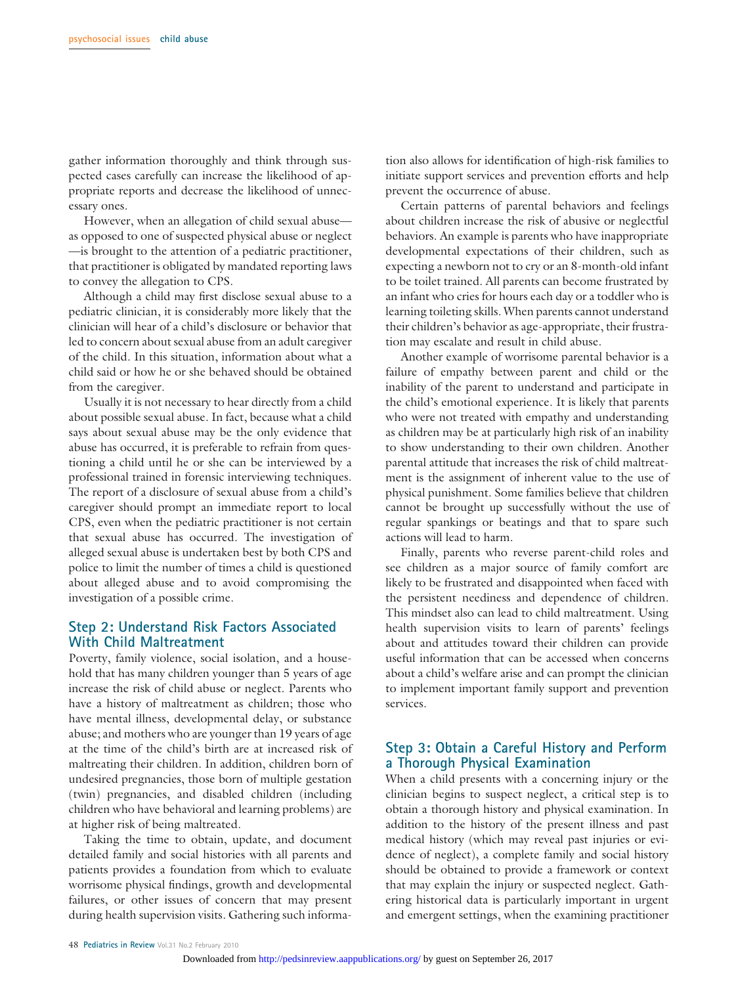gather information thoroughly and think through suspected cases carefully can increase the likelihood of appropriate reports and decrease the likelihood of unnecessary ones.

However, when an allegation of child sexual abuse as opposed to one of suspected physical abuse or neglect —is brought to the attention of a pediatric practitioner, that practitioner is obligated by mandated reporting laws to convey the allegation to CPS.

Although a child may first disclose sexual abuse to a pediatric clinician, it is considerably more likely that the clinician will hear of a child's disclosure or behavior that led to concern about sexual abuse from an adult caregiver of the child. In this situation, information about what a child said or how he or she behaved should be obtained from the caregiver.

Usually it is not necessary to hear directly from a child about possible sexual abuse. In fact, because what a child says about sexual abuse may be the only evidence that abuse has occurred, it is preferable to refrain from questioning a child until he or she can be interviewed by a professional trained in forensic interviewing techniques. The report of a disclosure of sexual abuse from a child's caregiver should prompt an immediate report to local CPS, even when the pediatric practitioner is not certain that sexual abuse has occurred. The investigation of alleged sexual abuse is undertaken best by both CPS and police to limit the number of times a child is questioned about alleged abuse and to avoid compromising the investigation of a possible crime.

## **Step 2: Understand Risk Factors Associated With Child Maltreatment**

Poverty, family violence, social isolation, and a household that has many children younger than 5 years of age increase the risk of child abuse or neglect. Parents who have a history of maltreatment as children; those who have mental illness, developmental delay, or substance abuse; and mothers who are younger than 19 years of age at the time of the child's birth are at increased risk of maltreating their children. In addition, children born of undesired pregnancies, those born of multiple gestation (twin) pregnancies, and disabled children (including children who have behavioral and learning problems) are at higher risk of being maltreated.

Taking the time to obtain, update, and document detailed family and social histories with all parents and patients provides a foundation from which to evaluate worrisome physical findings, growth and developmental failures, or other issues of concern that may present during health supervision visits. Gathering such information also allows for identification of high-risk families to initiate support services and prevention efforts and help prevent the occurrence of abuse.

Certain patterns of parental behaviors and feelings about children increase the risk of abusive or neglectful behaviors. An example is parents who have inappropriate developmental expectations of their children, such as expecting a newborn not to cry or an 8-month-old infant to be toilet trained. All parents can become frustrated by an infant who cries for hours each day or a toddler who is learning toileting skills. When parents cannot understand their children's behavior as age-appropriate, their frustration may escalate and result in child abuse.

Another example of worrisome parental behavior is a failure of empathy between parent and child or the inability of the parent to understand and participate in the child's emotional experience. It is likely that parents who were not treated with empathy and understanding as children may be at particularly high risk of an inability to show understanding to their own children. Another parental attitude that increases the risk of child maltreatment is the assignment of inherent value to the use of physical punishment. Some families believe that children cannot be brought up successfully without the use of regular spankings or beatings and that to spare such actions will lead to harm.

Finally, parents who reverse parent-child roles and see children as a major source of family comfort are likely to be frustrated and disappointed when faced with the persistent neediness and dependence of children. This mindset also can lead to child maltreatment. Using health supervision visits to learn of parents' feelings about and attitudes toward their children can provide useful information that can be accessed when concerns about a child's welfare arise and can prompt the clinician to implement important family support and prevention services.

# **Step 3: Obtain a Careful History and Perform a Thorough Physical Examination**

When a child presents with a concerning injury or the clinician begins to suspect neglect, a critical step is to obtain a thorough history and physical examination. In addition to the history of the present illness and past medical history (which may reveal past injuries or evidence of neglect), a complete family and social history should be obtained to provide a framework or context that may explain the injury or suspected neglect. Gathering historical data is particularly important in urgent and emergent settings, when the examining practitioner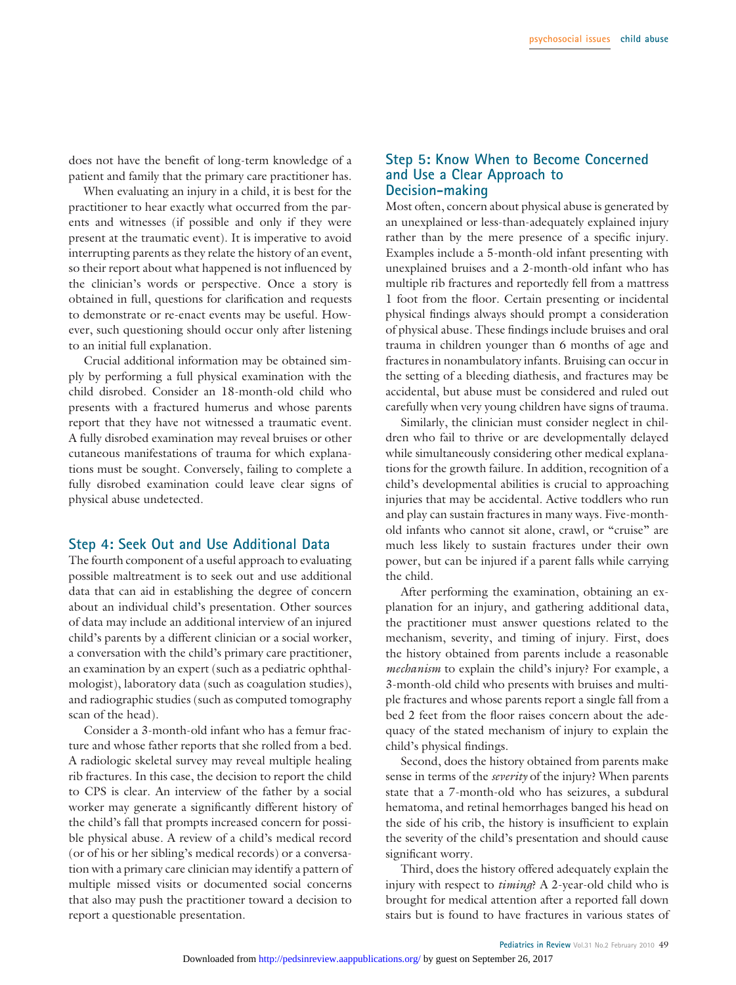does not have the benefit of long-term knowledge of a patient and family that the primary care practitioner has.

When evaluating an injury in a child, it is best for the practitioner to hear exactly what occurred from the parents and witnesses (if possible and only if they were present at the traumatic event). It is imperative to avoid interrupting parents as they relate the history of an event, so their report about what happened is not influenced by the clinician's words or perspective. Once a story is obtained in full, questions for clarification and requests to demonstrate or re-enact events may be useful. However, such questioning should occur only after listening to an initial full explanation.

Crucial additional information may be obtained simply by performing a full physical examination with the child disrobed. Consider an 18-month-old child who presents with a fractured humerus and whose parents report that they have not witnessed a traumatic event. A fully disrobed examination may reveal bruises or other cutaneous manifestations of trauma for which explanations must be sought. Conversely, failing to complete a fully disrobed examination could leave clear signs of physical abuse undetected.

#### **Step 4: Seek Out and Use Additional Data**

The fourth component of a useful approach to evaluating possible maltreatment is to seek out and use additional data that can aid in establishing the degree of concern about an individual child's presentation. Other sources of data may include an additional interview of an injured child's parents by a different clinician or a social worker, a conversation with the child's primary care practitioner, an examination by an expert (such as a pediatric ophthalmologist), laboratory data (such as coagulation studies), and radiographic studies (such as computed tomography scan of the head).

Consider a 3-month-old infant who has a femur fracture and whose father reports that she rolled from a bed. A radiologic skeletal survey may reveal multiple healing rib fractures. In this case, the decision to report the child to CPS is clear. An interview of the father by a social worker may generate a significantly different history of the child's fall that prompts increased concern for possible physical abuse. A review of a child's medical record (or of his or her sibling's medical records) or a conversation with a primary care clinician may identify a pattern of multiple missed visits or documented social concerns that also may push the practitioner toward a decision to report a questionable presentation.

# **Step 5: Know When to Become Concerned and Use a Clear Approach to Decision-making**

Most often, concern about physical abuse is generated by an unexplained or less-than-adequately explained injury rather than by the mere presence of a specific injury. Examples include a 5-month-old infant presenting with unexplained bruises and a 2-month-old infant who has multiple rib fractures and reportedly fell from a mattress 1 foot from the floor. Certain presenting or incidental physical findings always should prompt a consideration of physical abuse. These findings include bruises and oral trauma in children younger than 6 months of age and fractures in nonambulatory infants. Bruising can occur in the setting of a bleeding diathesis, and fractures may be accidental, but abuse must be considered and ruled out carefully when very young children have signs of trauma.

Similarly, the clinician must consider neglect in children who fail to thrive or are developmentally delayed while simultaneously considering other medical explanations for the growth failure. In addition, recognition of a child's developmental abilities is crucial to approaching injuries that may be accidental. Active toddlers who run and play can sustain fractures in many ways. Five-monthold infants who cannot sit alone, crawl, or "cruise" are much less likely to sustain fractures under their own power, but can be injured if a parent falls while carrying the child.

After performing the examination, obtaining an explanation for an injury, and gathering additional data, the practitioner must answer questions related to the mechanism, severity, and timing of injury. First, does the history obtained from parents include a reasonable *mechanism* to explain the child's injury? For example, a 3-month-old child who presents with bruises and multiple fractures and whose parents report a single fall from a bed 2 feet from the floor raises concern about the adequacy of the stated mechanism of injury to explain the child's physical findings.

Second, does the history obtained from parents make sense in terms of the *severity* of the injury? When parents state that a 7-month-old who has seizures, a subdural hematoma, and retinal hemorrhages banged his head on the side of his crib, the history is insufficient to explain the severity of the child's presentation and should cause significant worry.

Third, does the history offered adequately explain the injury with respect to *timing*? A 2-year-old child who is brought for medical attention after a reported fall down stairs but is found to have fractures in various states of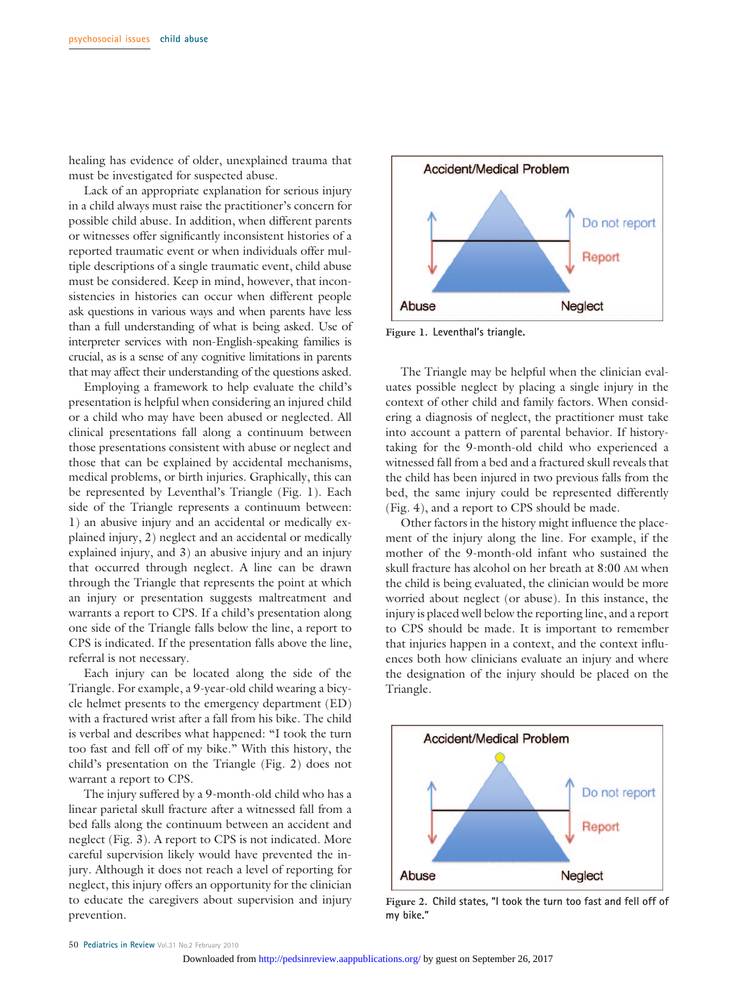healing has evidence of older, unexplained trauma that must be investigated for suspected abuse.

Lack of an appropriate explanation for serious injury in a child always must raise the practitioner's concern for possible child abuse. In addition, when different parents or witnesses offer significantly inconsistent histories of a reported traumatic event or when individuals offer multiple descriptions of a single traumatic event, child abuse must be considered. Keep in mind, however, that inconsistencies in histories can occur when different people ask questions in various ways and when parents have less than a full understanding of what is being asked. Use of interpreter services with non-English-speaking families is crucial, as is a sense of any cognitive limitations in parents that may affect their understanding of the questions asked.

Employing a framework to help evaluate the child's presentation is helpful when considering an injured child or a child who may have been abused or neglected. All clinical presentations fall along a continuum between those presentations consistent with abuse or neglect and those that can be explained by accidental mechanisms, medical problems, or birth injuries. Graphically, this can be represented by Leventhal's Triangle (Fig. 1). Each side of the Triangle represents a continuum between: 1) an abusive injury and an accidental or medically explained injury, 2) neglect and an accidental or medically explained injury, and 3) an abusive injury and an injury that occurred through neglect. A line can be drawn through the Triangle that represents the point at which an injury or presentation suggests maltreatment and warrants a report to CPS. If a child's presentation along one side of the Triangle falls below the line, a report to CPS is indicated. If the presentation falls above the line, referral is not necessary.

Each injury can be located along the side of the Triangle. For example, a 9-year-old child wearing a bicycle helmet presents to the emergency department (ED) with a fractured wrist after a fall from his bike. The child is verbal and describes what happened: "I took the turn too fast and fell off of my bike." With this history, the child's presentation on the Triangle (Fig. 2) does not warrant a report to CPS.

The injury suffered by a 9-month-old child who has a linear parietal skull fracture after a witnessed fall from a bed falls along the continuum between an accident and neglect (Fig. 3). A report to CPS is not indicated. More careful supervision likely would have prevented the injury. Although it does not reach a level of reporting for neglect, this injury offers an opportunity for the clinician to educate the caregivers about supervision and injury prevention.



**Figure 1. Leventhal's triangle.**

The Triangle may be helpful when the clinician evaluates possible neglect by placing a single injury in the context of other child and family factors. When considering a diagnosis of neglect, the practitioner must take into account a pattern of parental behavior. If historytaking for the 9-month-old child who experienced a witnessed fall from a bed and a fractured skull reveals that the child has been injured in two previous falls from the bed, the same injury could be represented differently (Fig. 4), and a report to CPS should be made.

Other factors in the history might influence the placement of the injury along the line. For example, if the mother of the 9-month-old infant who sustained the skull fracture has alcohol on her breath at 8:00 AM when the child is being evaluated, the clinician would be more worried about neglect (or abuse). In this instance, the injury is placed well below the reporting line, and a report to CPS should be made. It is important to remember that injuries happen in a context, and the context influences both how clinicians evaluate an injury and where the designation of the injury should be placed on the Triangle.



**Figure 2. Child states, "I took the turn too fast and fell off of my bike."**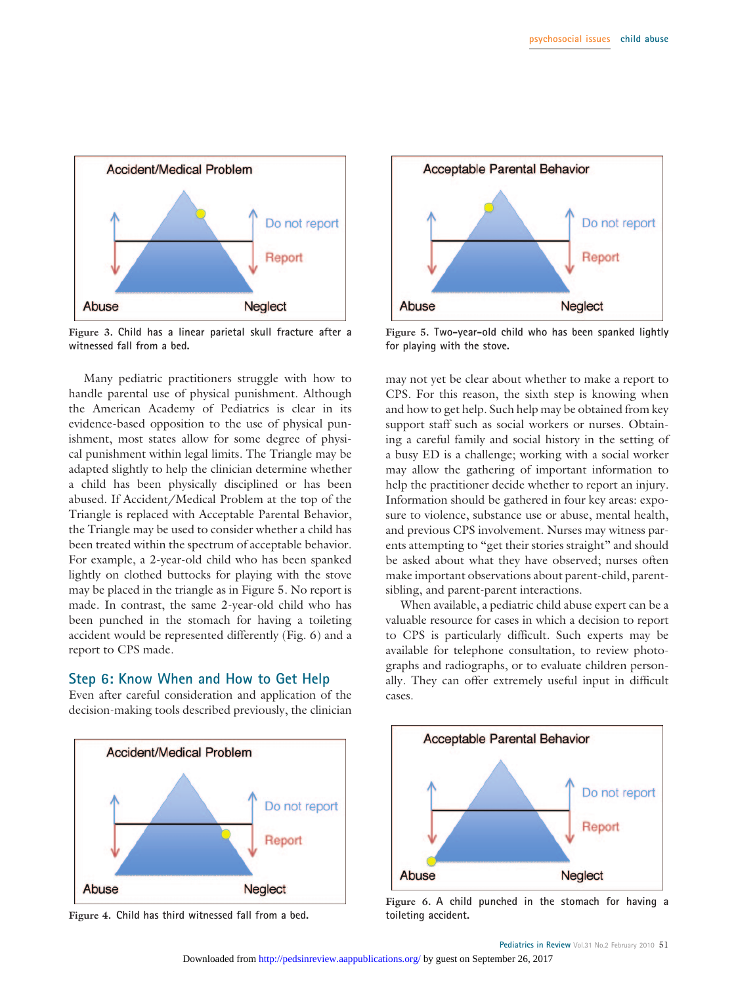

**Figure 3. Child has a linear parietal skull fracture after a witnessed fall from a bed.**

Many pediatric practitioners struggle with how to handle parental use of physical punishment. Although the American Academy of Pediatrics is clear in its evidence-based opposition to the use of physical punishment, most states allow for some degree of physical punishment within legal limits. The Triangle may be adapted slightly to help the clinician determine whether a child has been physically disciplined or has been abused. If Accident/Medical Problem at the top of the Triangle is replaced with Acceptable Parental Behavior, the Triangle may be used to consider whether a child has been treated within the spectrum of acceptable behavior. For example, a 2-year-old child who has been spanked lightly on clothed buttocks for playing with the stove may be placed in the triangle as in Figure 5. No report is made. In contrast, the same 2-year-old child who has been punched in the stomach for having a toileting accident would be represented differently (Fig. 6) and a report to CPS made.

#### **Step 6: Know When and How to Get Help**

Even after careful consideration and application of the decision-making tools described previously, the clinician



**Figure 4. Child has third witnessed fall from a bed.**



**Figure 5. Two-year-old child who has been spanked lightly for playing with the stove.**

may not yet be clear about whether to make a report to CPS. For this reason, the sixth step is knowing when and how to get help. Such help may be obtained from key support staff such as social workers or nurses. Obtaining a careful family and social history in the setting of a busy ED is a challenge; working with a social worker may allow the gathering of important information to help the practitioner decide whether to report an injury. Information should be gathered in four key areas: exposure to violence, substance use or abuse, mental health, and previous CPS involvement. Nurses may witness parents attempting to "get their stories straight" and should be asked about what they have observed; nurses often make important observations about parent-child, parentsibling, and parent-parent interactions.

When available, a pediatric child abuse expert can be a valuable resource for cases in which a decision to report to CPS is particularly difficult. Such experts may be available for telephone consultation, to review photographs and radiographs, or to evaluate children personally. They can offer extremely useful input in difficult cases.



**Figure 6. A child punched in the stomach for having a toileting accident.**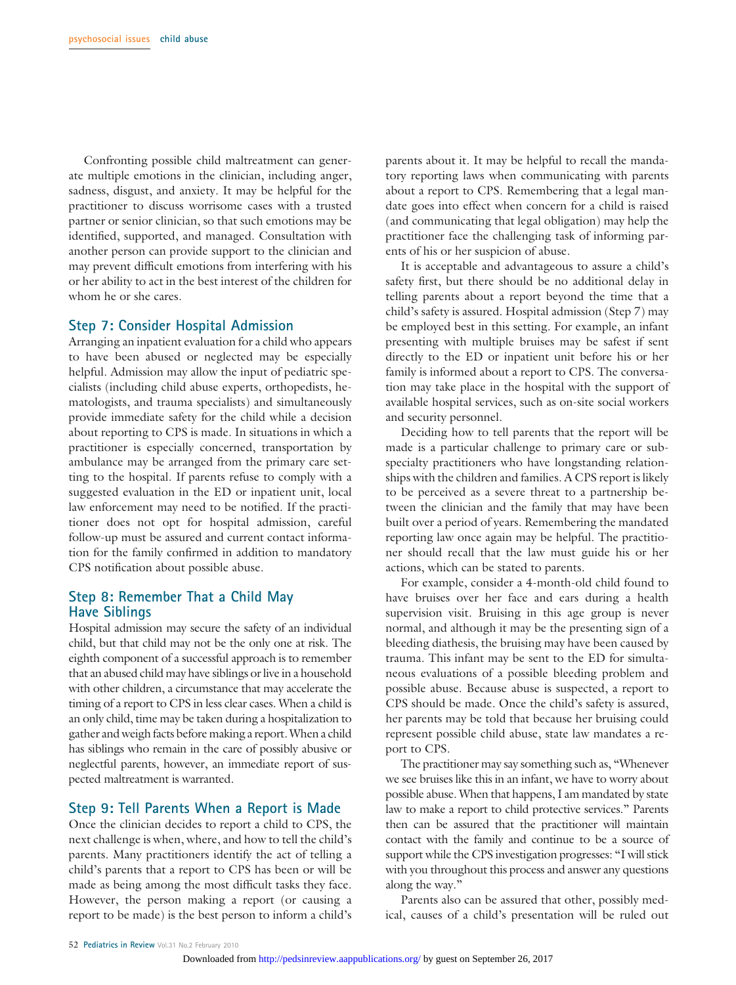Confronting possible child maltreatment can generate multiple emotions in the clinician, including anger, sadness, disgust, and anxiety. It may be helpful for the practitioner to discuss worrisome cases with a trusted partner or senior clinician, so that such emotions may be identified, supported, and managed. Consultation with another person can provide support to the clinician and may prevent difficult emotions from interfering with his or her ability to act in the best interest of the children for whom he or she cares.

#### **Step 7: Consider Hospital Admission**

Arranging an inpatient evaluation for a child who appears to have been abused or neglected may be especially helpful. Admission may allow the input of pediatric specialists (including child abuse experts, orthopedists, hematologists, and trauma specialists) and simultaneously provide immediate safety for the child while a decision about reporting to CPS is made. In situations in which a practitioner is especially concerned, transportation by ambulance may be arranged from the primary care setting to the hospital. If parents refuse to comply with a suggested evaluation in the ED or inpatient unit, local law enforcement may need to be notified. If the practitioner does not opt for hospital admission, careful follow-up must be assured and current contact information for the family confirmed in addition to mandatory CPS notification about possible abuse.

# **Step 8: Remember That a Child May Have Siblings**

Hospital admission may secure the safety of an individual child, but that child may not be the only one at risk. The eighth component of a successful approach is to remember that an abused child may have siblings or live in a household with other children, a circumstance that may accelerate the timing of a report to CPS in less clear cases. When a child is an only child, time may be taken during a hospitalization to gather and weigh facts before making a report.When a child has siblings who remain in the care of possibly abusive or neglectful parents, however, an immediate report of suspected maltreatment is warranted.

#### **Step 9: Tell Parents When a Report is Made**

Once the clinician decides to report a child to CPS, the next challenge is when, where, and how to tell the child's parents. Many practitioners identify the act of telling a child's parents that a report to CPS has been or will be made as being among the most difficult tasks they face. However, the person making a report (or causing a report to be made) is the best person to inform a child's parents about it. It may be helpful to recall the mandatory reporting laws when communicating with parents about a report to CPS. Remembering that a legal mandate goes into effect when concern for a child is raised (and communicating that legal obligation) may help the practitioner face the challenging task of informing parents of his or her suspicion of abuse.

It is acceptable and advantageous to assure a child's safety first, but there should be no additional delay in telling parents about a report beyond the time that a child's safety is assured. Hospital admission (Step 7) may be employed best in this setting. For example, an infant presenting with multiple bruises may be safest if sent directly to the ED or inpatient unit before his or her family is informed about a report to CPS. The conversation may take place in the hospital with the support of available hospital services, such as on-site social workers and security personnel.

Deciding how to tell parents that the report will be made is a particular challenge to primary care or subspecialty practitioners who have longstanding relationships with the children and families. A CPS report is likely to be perceived as a severe threat to a partnership between the clinician and the family that may have been built over a period of years. Remembering the mandated reporting law once again may be helpful. The practitioner should recall that the law must guide his or her actions, which can be stated to parents.

For example, consider a 4-month-old child found to have bruises over her face and ears during a health supervision visit. Bruising in this age group is never normal, and although it may be the presenting sign of a bleeding diathesis, the bruising may have been caused by trauma. This infant may be sent to the ED for simultaneous evaluations of a possible bleeding problem and possible abuse. Because abuse is suspected, a report to CPS should be made. Once the child's safety is assured, her parents may be told that because her bruising could represent possible child abuse, state law mandates a report to CPS.

The practitioner may say something such as, "Whenever we see bruises like this in an infant, we have to worry about possible abuse. When that happens, I am mandated by state law to make a report to child protective services." Parents then can be assured that the practitioner will maintain contact with the family and continue to be a source of support while the CPS investigation progresses: "I will stick with you throughout this process and answer any questions along the way."

Parents also can be assured that other, possibly medical, causes of a child's presentation will be ruled out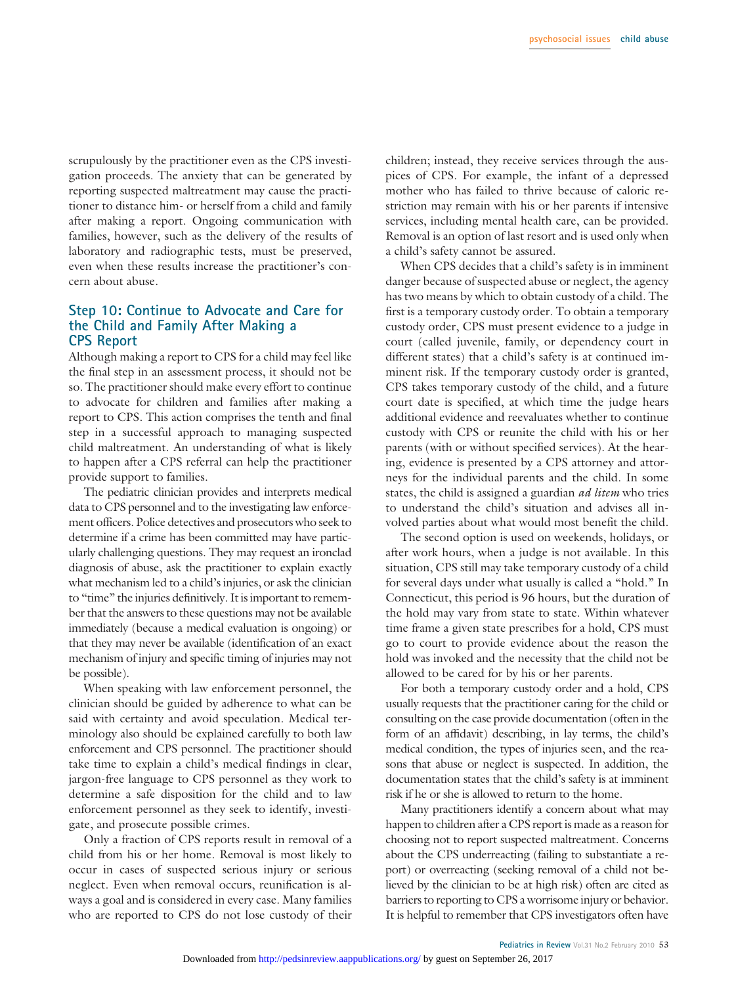scrupulously by the practitioner even as the CPS investigation proceeds. The anxiety that can be generated by reporting suspected maltreatment may cause the practitioner to distance him- or herself from a child and family after making a report. Ongoing communication with families, however, such as the delivery of the results of laboratory and radiographic tests, must be preserved, even when these results increase the practitioner's concern about abuse.

# **Step 10: Continue to Advocate and Care for the Child and Family After Making a CPS Report**

Although making a report to CPS for a child may feel like the final step in an assessment process, it should not be so. The practitioner should make every effort to continue to advocate for children and families after making a report to CPS. This action comprises the tenth and final step in a successful approach to managing suspected child maltreatment. An understanding of what is likely to happen after a CPS referral can help the practitioner provide support to families.

The pediatric clinician provides and interprets medical data to CPS personnel and to the investigating law enforcement officers. Police detectives and prosecutors who seek to determine if a crime has been committed may have particularly challenging questions. They may request an ironclad diagnosis of abuse, ask the practitioner to explain exactly what mechanism led to a child's injuries, or ask the clinician to "time" the injuries definitively. It is important to remember that the answers to these questions may not be available immediately (because a medical evaluation is ongoing) or that they may never be available (identification of an exact mechanism of injury and specific timing of injuries may not be possible).

When speaking with law enforcement personnel, the clinician should be guided by adherence to what can be said with certainty and avoid speculation. Medical terminology also should be explained carefully to both law enforcement and CPS personnel. The practitioner should take time to explain a child's medical findings in clear, jargon-free language to CPS personnel as they work to determine a safe disposition for the child and to law enforcement personnel as they seek to identify, investigate, and prosecute possible crimes.

Only a fraction of CPS reports result in removal of a child from his or her home. Removal is most likely to occur in cases of suspected serious injury or serious neglect. Even when removal occurs, reunification is always a goal and is considered in every case. Many families who are reported to CPS do not lose custody of their

children; instead, they receive services through the auspices of CPS. For example, the infant of a depressed mother who has failed to thrive because of caloric restriction may remain with his or her parents if intensive services, including mental health care, can be provided. Removal is an option of last resort and is used only when a child's safety cannot be assured.

When CPS decides that a child's safety is in imminent danger because of suspected abuse or neglect, the agency has two means by which to obtain custody of a child. The first is a temporary custody order. To obtain a temporary custody order, CPS must present evidence to a judge in court (called juvenile, family, or dependency court in different states) that a child's safety is at continued imminent risk. If the temporary custody order is granted, CPS takes temporary custody of the child, and a future court date is specified, at which time the judge hears additional evidence and reevaluates whether to continue custody with CPS or reunite the child with his or her parents (with or without specified services). At the hearing, evidence is presented by a CPS attorney and attorneys for the individual parents and the child. In some states, the child is assigned a guardian *ad litem* who tries to understand the child's situation and advises all involved parties about what would most benefit the child.

The second option is used on weekends, holidays, or after work hours, when a judge is not available. In this situation, CPS still may take temporary custody of a child for several days under what usually is called a "hold." In Connecticut, this period is 96 hours, but the duration of the hold may vary from state to state. Within whatever time frame a given state prescribes for a hold, CPS must go to court to provide evidence about the reason the hold was invoked and the necessity that the child not be allowed to be cared for by his or her parents.

For both a temporary custody order and a hold, CPS usually requests that the practitioner caring for the child or consulting on the case provide documentation (often in the form of an affidavit) describing, in lay terms, the child's medical condition, the types of injuries seen, and the reasons that abuse or neglect is suspected. In addition, the documentation states that the child's safety is at imminent risk if he or she is allowed to return to the home.

Many practitioners identify a concern about what may happen to children after a CPS report is made as a reason for choosing not to report suspected maltreatment. Concerns about the CPS underreacting (failing to substantiate a report) or overreacting (seeking removal of a child not believed by the clinician to be at high risk) often are cited as barriers to reporting to CPS a worrisome injury or behavior. It is helpful to remember that CPS investigators often have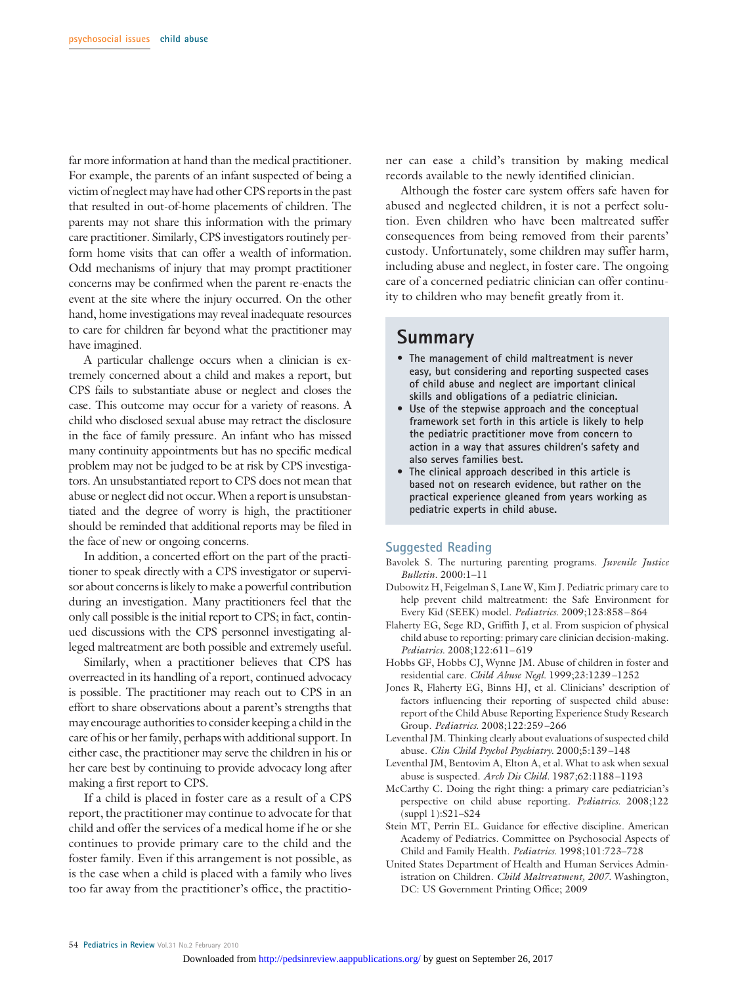far more information at hand than the medical practitioner. For example, the parents of an infant suspected of being a victim of neglect may have had other CPS reports in the past that resulted in out-of-home placements of children. The parents may not share this information with the primary care practitioner. Similarly, CPS investigators routinely perform home visits that can offer a wealth of information. Odd mechanisms of injury that may prompt practitioner concerns may be confirmed when the parent re-enacts the event at the site where the injury occurred. On the other hand, home investigations may reveal inadequate resources to care for children far beyond what the practitioner may have imagined.

A particular challenge occurs when a clinician is extremely concerned about a child and makes a report, but CPS fails to substantiate abuse or neglect and closes the case. This outcome may occur for a variety of reasons. A child who disclosed sexual abuse may retract the disclosure in the face of family pressure. An infant who has missed many continuity appointments but has no specific medical problem may not be judged to be at risk by CPS investigators. An unsubstantiated report to CPS does not mean that abuse or neglect did not occur. When a report is unsubstantiated and the degree of worry is high, the practitioner should be reminded that additional reports may be filed in the face of new or ongoing concerns.

In addition, a concerted effort on the part of the practitioner to speak directly with a CPS investigator or supervisor about concerns is likely to make a powerful contribution during an investigation. Many practitioners feel that the only call possible is the initial report to CPS; in fact, continued discussions with the CPS personnel investigating alleged maltreatment are both possible and extremely useful.

Similarly, when a practitioner believes that CPS has overreacted in its handling of a report, continued advocacy is possible. The practitioner may reach out to CPS in an effort to share observations about a parent's strengths that may encourage authorities to consider keeping a child in the care of his or her family, perhaps with additional support. In either case, the practitioner may serve the children in his or her care best by continuing to provide advocacy long after making a first report to CPS.

If a child is placed in foster care as a result of a CPS report, the practitioner may continue to advocate for that child and offer the services of a medical home if he or she continues to provide primary care to the child and the foster family. Even if this arrangement is not possible, as is the case when a child is placed with a family who lives too far away from the practitioner's office, the practitioner can ease a child's transition by making medical records available to the newly identified clinician.

Although the foster care system offers safe haven for abused and neglected children, it is not a perfect solution. Even children who have been maltreated suffer consequences from being removed from their parents' custody. Unfortunately, some children may suffer harm, including abuse and neglect, in foster care. The ongoing care of a concerned pediatric clinician can offer continuity to children who may benefit greatly from it.

# **Summary**

- **The management of child maltreatment is never easy, but considering and reporting suspected cases of child abuse and neglect are important clinical skills and obligations of a pediatric clinician.**
- **Use of the stepwise approach and the conceptual framework set forth in this article is likely to help the pediatric practitioner move from concern to action in a way that assures children's safety and also serves families best.**
- **The clinical approach described in this article is based not on research evidence, but rather on the practical experience gleaned from years working as pediatric experts in child abuse.**

#### **Suggested Reading**

- Bavolek S. The nurturing parenting programs. *Juvenile Justice Bulletin*. 2000:1–11
- Dubowitz H, Feigelman S, Lane W, Kim J. Pediatric primary care to help prevent child maltreatment: the Safe Environment for Every Kid (SEEK) model. *Pediatrics.* 2009;123:858 – 864
- Flaherty EG, Sege RD, Griffith J, et al. From suspicion of physical child abuse to reporting: primary care clinician decision-making. Pediatrics. 2008;122:611-619
- Hobbs GF, Hobbs CJ, Wynne JM. Abuse of children in foster and residential care. *Child Abuse Negl.* 1999;23:1239 –1252
- Jones R, Flaherty EG, Binns HJ, et al. Clinicians' description of factors influencing their reporting of suspected child abuse: report of the Child Abuse Reporting Experience Study Research Group. *Pediatrics.* 2008;122:259 –266
- Leventhal JM. Thinking clearly about evaluations of suspected child abuse. *Clin Child Psychol Psychiatry.* 2000;5:139 –148
- Leventhal JM, Bentovim A, Elton A, et al. What to ask when sexual abuse is suspected. *Arch Dis Child.* 1987;62:1188 –1193
- McCarthy C. Doing the right thing: a primary care pediatrician's perspective on child abuse reporting. *Pediatrics.* 2008;122 (suppl 1):S21–S24
- Stein MT, Perrin EL. Guidance for effective discipline. American Academy of Pediatrics. Committee on Psychosocial Aspects of Child and Family Health. *Pediatrics.* 1998;101:723–728
- United States Department of Health and Human Services Administration on Children. *Child Maltreatment, 2007*. Washington, DC: US Government Printing Office; 2009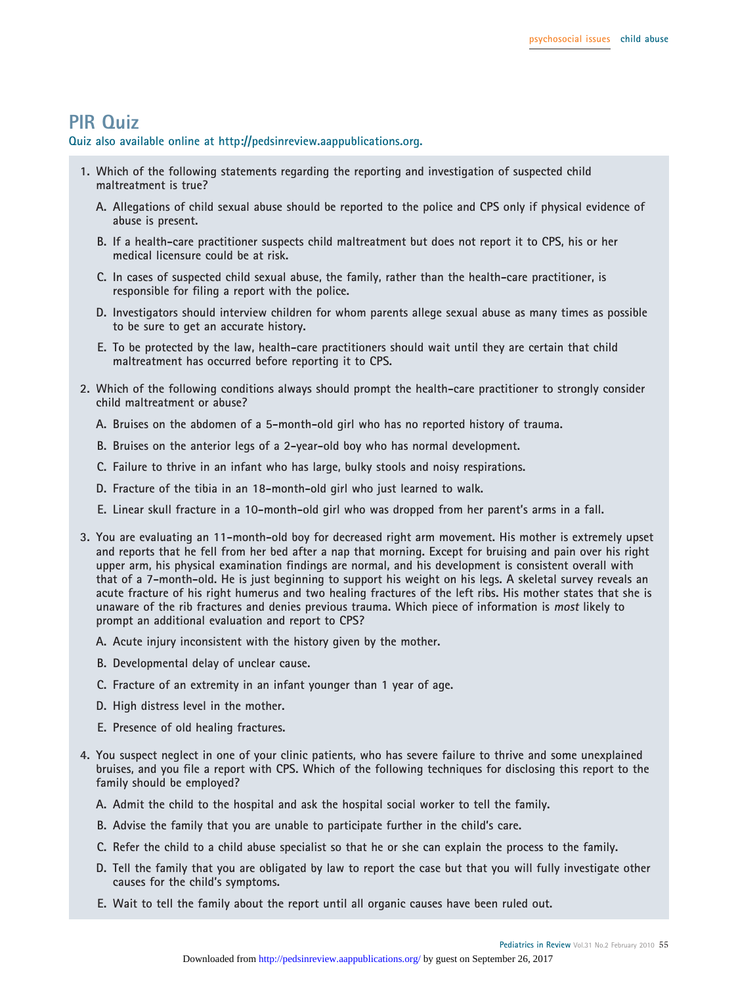# **PIR Quiz**

**Quiz also available online at http://pedsinreview.aappublications.org.**

- **1. Which of the following statements regarding the reporting and investigation of suspected child maltreatment is true?**
	- **A. Allegations of child sexual abuse should be reported to the police and CPS only if physical evidence of abuse is present.**
	- **B. If a health-care practitioner suspects child maltreatment but does not report it to CPS, his or her medical licensure could be at risk.**
	- **C. In cases of suspected child sexual abuse, the family, rather than the health-care practitioner, is responsible for filing a report with the police.**
	- **D. Investigators should interview children for whom parents allege sexual abuse as many times as possible to be sure to get an accurate history.**
	- **E. To be protected by the law, health-care practitioners should wait until they are certain that child maltreatment has occurred before reporting it to CPS.**
- **2. Which of the following conditions always should prompt the health-care practitioner to strongly consider child maltreatment or abuse?**
	- **A. Bruises on the abdomen of a 5-month-old girl who has no reported history of trauma.**
	- **B. Bruises on the anterior legs of a 2-year-old boy who has normal development.**
	- **C. Failure to thrive in an infant who has large, bulky stools and noisy respirations.**
	- **D. Fracture of the tibia in an 18-month-old girl who just learned to walk.**
	- **E. Linear skull fracture in a 10-month-old girl who was dropped from her parent's arms in a fall.**
- **3. You are evaluating an 11-month-old boy for decreased right arm movement. His mother is extremely upset and reports that he fell from her bed after a nap that morning. Except for bruising and pain over his right upper arm, his physical examination findings are normal, and his development is consistent overall with that of a 7-month-old. He is just beginning to support his weight on his legs. A skeletal survey reveals an acute fracture of his right humerus and two healing fractures of the left ribs. His mother states that she is unaware of the rib fractures and denies previous trauma. Which piece of information is most likely to prompt an additional evaluation and report to CPS?**
	- **A. Acute injury inconsistent with the history given by the mother.**
	- **B. Developmental delay of unclear cause.**
	- **C. Fracture of an extremity in an infant younger than 1 year of age.**
	- **D. High distress level in the mother.**
	- **E. Presence of old healing fractures.**
- **4. You suspect neglect in one of your clinic patients, who has severe failure to thrive and some unexplained bruises, and you file a report with CPS. Which of the following techniques for disclosing this report to the family should be employed?**
	- **A. Admit the child to the hospital and ask the hospital social worker to tell the family.**
	- **B. Advise the family that you are unable to participate further in the child's care.**
	- **C. Refer the child to a child abuse specialist so that he or she can explain the process to the family.**
	- **D. Tell the family that you are obligated by law to report the case but that you will fully investigate other causes for the child's symptoms.**
	- **E. Wait to tell the family about the report until all organic causes have been ruled out.**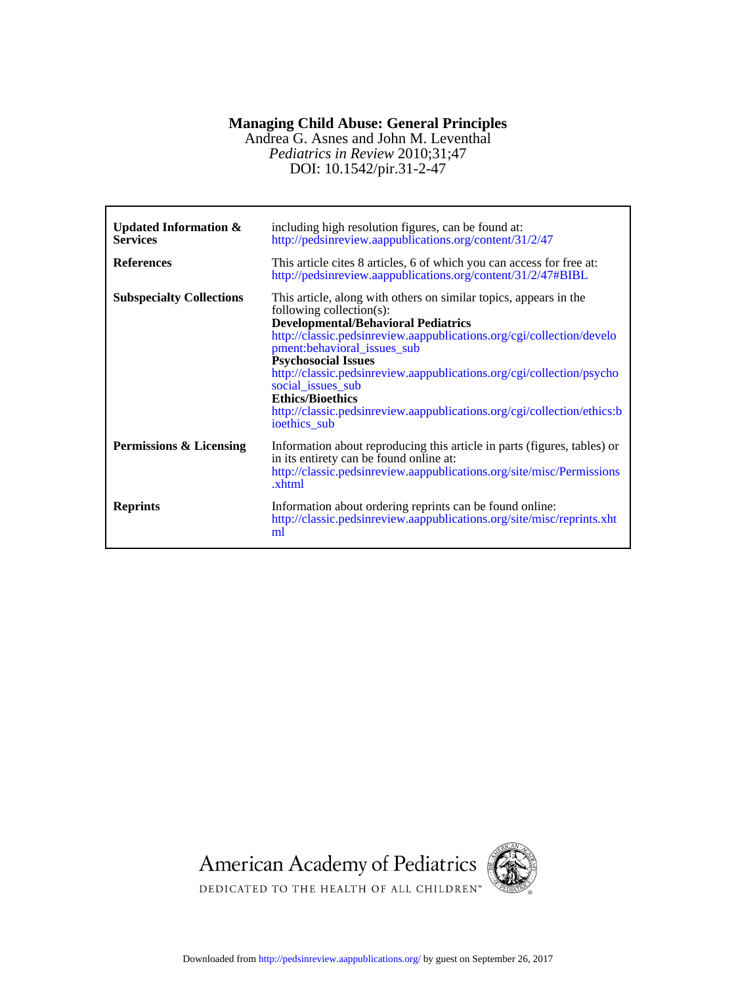# **Managing Child Abuse: General Principles**

DOI: 10.1542/pir.31-2-47 *Pediatrics in Review* 2010;31;47 Andrea G. Asnes and John M. Leventhal

| <b>Updated Information &amp;</b><br><b>Services</b><br><b>References</b> | including high resolution figures, can be found at:<br>http://pedsinreview.aappublications.org/content/31/2/47<br>This article cites 8 articles, 6 of which you can access for free at:<br>http://pedsinreview.aappublications.org/content/31/2/47#BIBL                                                                                                                                                                                                                                                   |
|--------------------------------------------------------------------------|-----------------------------------------------------------------------------------------------------------------------------------------------------------------------------------------------------------------------------------------------------------------------------------------------------------------------------------------------------------------------------------------------------------------------------------------------------------------------------------------------------------|
| <b>Subspecialty Collections</b>                                          | This article, along with others on similar topics, appears in the<br>following collection $(s)$ :<br><b>Developmental/Behavioral Pediatrics</b><br>http://classic.pedsinreview.aappublications.org/cgi/collection/develo<br>pment:behavioral_issues_sub<br><b>Psychosocial Issues</b><br>http://classic.pedsinreview.aappublications.org/cgi/collection/psycho<br>social issues sub<br><b>Ethics/Bioethics</b><br>http://classic.pedsinreview.aappublications.org/cgi/collection/ethics:b<br>ioethics sub |
| Permissions & Licensing                                                  | Information about reproducing this article in parts (figures, tables) or<br>in its entirety can be found online at:<br>http://classic.pedsinreview.aappublications.org/site/misc/Permissions<br>.xhtml                                                                                                                                                                                                                                                                                                    |
| <b>Reprints</b>                                                          | Information about ordering reprints can be found online:<br>http://classic.pedsinreview.aappublications.org/site/misc/reprints.xht<br>ml                                                                                                                                                                                                                                                                                                                                                                  |